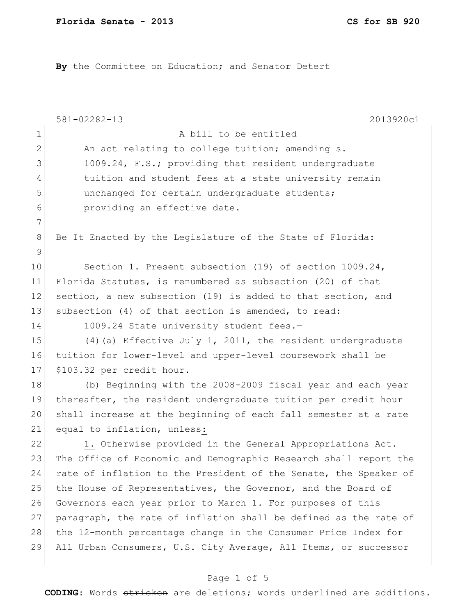By the Committee on Education; and Senator Detert

|                | $581 - 02282 - 13$<br>2013920c1                                  |
|----------------|------------------------------------------------------------------|
| 1              | A bill to be entitled                                            |
| $\overline{2}$ | An act relating to college tuition; amending s.                  |
| 3              | 1009.24, F.S.; providing that resident undergraduate             |
| 4              | tuition and student fees at a state university remain            |
| 5              | unchanged for certain undergraduate students;                    |
| 6              | providing an effective date.                                     |
| 7              |                                                                  |
| $\,8\,$        | Be It Enacted by the Legislature of the State of Florida:        |
| 9              |                                                                  |
| 10             | Section 1. Present subsection (19) of section 1009.24,           |
| 11             | Florida Statutes, is renumbered as subsection (20) of that       |
| 12             | section, a new subsection (19) is added to that section, and     |
| 13             | subsection (4) of that section is amended, to read:              |
| 14             | 1009.24 State university student fees.-                          |
| 15             | (4) (a) Effective July 1, 2011, the resident undergraduate       |
| 16             | tuition for lower-level and upper-level coursework shall be      |
| 17             | \$103.32 per credit hour.                                        |
| 18             | (b) Beginning with the 2008-2009 fiscal year and each year       |
| 19             | thereafter, the resident undergraduate tuition per credit hour   |
| 20             | shall increase at the beginning of each fall semester at a rate  |
| 21             | equal to inflation, unless:                                      |
| 22             | 1. Otherwise provided in the General Appropriations Act.         |
| 23             | The Office of Economic and Demographic Research shall report the |
| 24             | rate of inflation to the President of the Senate, the Speaker of |
| 25             | the House of Representatives, the Governor, and the Board of     |
| 26             | Governors each year prior to March 1. For purposes of this       |
| 27             | paragraph, the rate of inflation shall be defined as the rate of |
| 28             | the 12-month percentage change in the Consumer Price Index for   |
| 29             | All Urban Consumers, U.S. City Average, All Items, or successor  |
|                |                                                                  |

# Page 1 of 5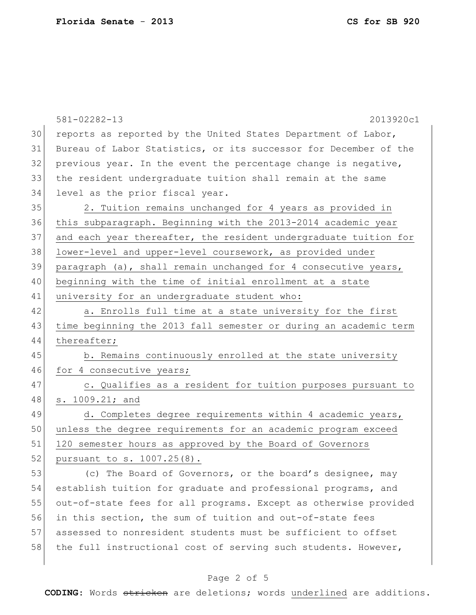|    | $581 - 02282 - 13$<br>2013920c1                                  |
|----|------------------------------------------------------------------|
| 30 | reports as reported by the United States Department of Labor,    |
| 31 | Bureau of Labor Statistics, or its successor for December of the |
| 32 | previous year. In the event the percentage change is negative,   |
| 33 | the resident undergraduate tuition shall remain at the same      |
| 34 | level as the prior fiscal year.                                  |
| 35 | 2. Tuition remains unchanged for 4 years as provided in          |
| 36 | this subparagraph. Beginning with the 2013-2014 academic year    |
| 37 | and each year thereafter, the resident undergraduate tuition for |
| 38 | lower-level and upper-level coursework, as provided under        |
| 39 | paragraph (a), shall remain unchanged for 4 consecutive years,   |
| 40 | beginning with the time of initial enrollment at a state         |
| 41 | university for an undergraduate student who:                     |
| 42 | a. Enrolls full time at a state university for the first         |
| 43 | time beginning the 2013 fall semester or during an academic term |
| 44 | thereafter;                                                      |
| 45 | b. Remains continuously enrolled at the state university         |
| 46 | for 4 consecutive years;                                         |
| 47 | c. Qualifies as a resident for tuition purposes pursuant to      |
| 48 | s. 1009.21; and                                                  |
| 49 | d. Completes degree requirements within 4 academic years,        |
| 50 | unless the degree requirements for an academic program exceed    |
| 51 | 120 semester hours as approved by the Board of Governors         |
| 52 | pursuant to s. 1007.25(8).                                       |
| 53 | (c) The Board of Governors, or the board's designee, may         |
| 54 | establish tuition for graduate and professional programs, and    |
| 55 | out-of-state fees for all programs. Except as otherwise provided |
| 56 | in this section, the sum of tuition and out-of-state fees        |
| 57 | assessed to nonresident students must be sufficient to offset    |
| 58 | the full instructional cost of serving such students. However,   |
|    |                                                                  |

# Page 2 of 5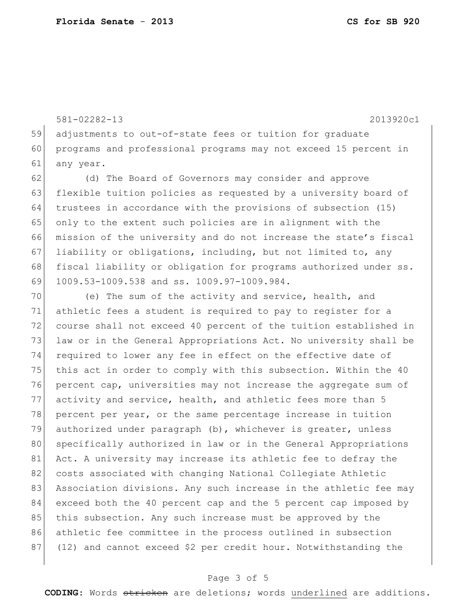581-02282-13 2013920c1

59 adjustments to out-of-state fees or tuition for graduate 60 programs and professional programs may not exceed 15 percent in 61 any year.

62 (d) The Board of Governors may consider and approve 63 flexible tuition policies as requested by a university board of 64 trustees in accordance with the provisions of subsection (15) 65 only to the extent such policies are in alignment with the 66 mission of the university and do not increase the state's fiscal 67 liability or obligations, including, but not limited to, any 68 fiscal liability or obligation for programs authorized under ss. 69 1009.53-1009.538 and ss. 1009.97-1009.984.

70 (e) The sum of the activity and service, health, and 71 athletic fees a student is required to pay to register for a 72 course shall not exceed 40 percent of the tuition established in 73 law or in the General Appropriations Act. No university shall be 74 required to lower any fee in effect on the effective date of 75 this act in order to comply with this subsection. Within the 40 76 percent cap, universities may not increase the aggregate sum of 77 activity and service, health, and athletic fees more than 5 78 percent per year, or the same percentage increase in tuition 79 authorized under paragraph (b), whichever is greater, unless 80 specifically authorized in law or in the General Appropriations 81 Act. A university may increase its athletic fee to defray the 82 costs associated with changing National Collegiate Athletic 83 Association divisions. Any such increase in the athletic fee may 84 exceed both the 40 percent cap and the 5 percent cap imposed by 85 this subsection. Any such increase must be approved by the 86 athletic fee committee in the process outlined in subsection 87 (12) and cannot exceed \$2 per credit hour. Notwithstanding the

## Page 3 of 5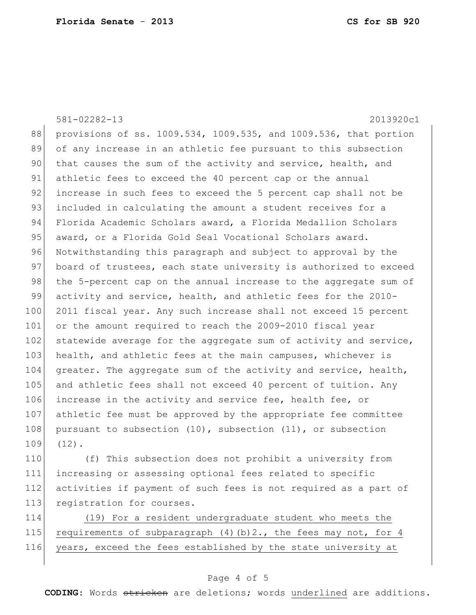581-02282-13 2013920c1 88 provisions of ss. 1009.534, 1009.535, and 1009.536, that portion 89 of any increase in an athletic fee pursuant to this subsection 90 that causes the sum of the activity and service, health, and 91 athletic fees to exceed the 40 percent cap or the annual 92 increase in such fees to exceed the 5 percent cap shall not be 93 included in calculating the amount a student receives for a 94 Florida Academic Scholars award, a Florida Medallion Scholars 95 award, or a Florida Gold Seal Vocational Scholars award. 96 Notwithstanding this paragraph and subject to approval by the 97 board of trustees, each state university is authorized to exceed 98 the 5-percent cap on the annual increase to the aggregate sum of 99 activity and service, health, and athletic fees for the 2010- 100 2011 fiscal year. Any such increase shall not exceed 15 percent 101 or the amount required to reach the 2009-2010 fiscal year 102 statewide average for the aggregate sum of activity and service, 103 health, and athletic fees at the main campuses, whichever is 104 greater. The aggregate sum of the activity and service, health, 105 and athletic fees shall not exceed 40 percent of tuition. Any 106 increase in the activity and service fee, health fee, or 107 athletic fee must be approved by the appropriate fee committee 108 pursuant to subsection  $(10)$ , subsection  $(11)$ , or subsection 109 (12).

110 (f) This subsection does not prohibit a university from 111 increasing or assessing optional fees related to specific 112 activities if payment of such fees is not required as a part of 113 registration for courses.

114 (19) For a resident undergraduate student who meets the 115 requirements of subparagraph  $(4)(b)$  2., the fees may not, for 4 116 years, exceed the fees established by the state university at

## Page 4 of 5